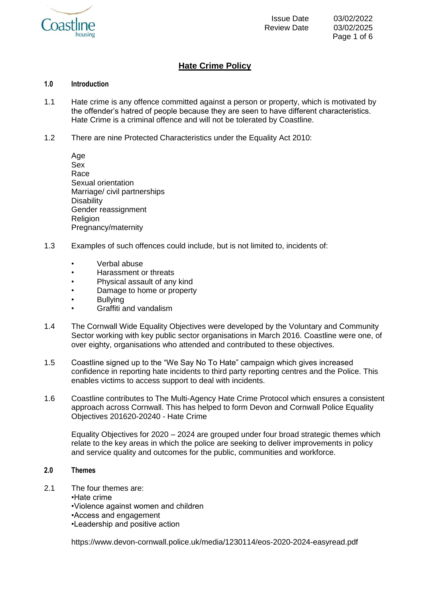

# **Hate Crime Policy**

## **1.0 Introduction**

- 1.1 Hate crime is any offence committed against a person or property, which is motivated by the offender's hatred of people because they are seen to have different characteristics. Hate Crime is a criminal offence and will not be tolerated by Coastline.
- 1.2 There are nine Protected Characteristics under the Equality Act 2010:
	- Age Sex Race Sexual orientation Marriage/ civil partnerships **Disability** Gender reassignment Religion Pregnancy/maternity
- 1.3 Examples of such offences could include, but is not limited to, incidents of:
	- Verbal abuse
	- Harassment or threats
	- Physical assault of any kind
	- Damage to home or property
	- Bullying
	- Graffiti and vandalism
- 1.4 The Cornwall Wide Equality Objectives were developed by the Voluntary and Community Sector working with key public sector organisations in March 2016. Coastline were one, of over eighty, organisations who attended and contributed to these objectives.
- 1.5 Coastline signed up to the "We Say No To Hate" campaign which gives increased confidence in reporting hate incidents to third party reporting centres and the Police. This enables victims to access support to deal with incidents.
- 1.6 Coastline contributes to The Multi-Agency Hate Crime Protocol which ensures a consistent approach across Cornwall. This has helped to form Devon and Cornwall Police Equality Objectives 201620-20240 - Hate Crime

Equality Objectives for 2020 – 2024 are grouped under four broad strategic themes which relate to the key areas in which the police are seeking to deliver improvements in policy and service quality and outcomes for the public, communities and workforce.

# **2.0 Themes**

2.1 The four themes are:

•Hate crime

- •Violence against women and children
- •Access and engagement
- •Leadership and positive action

https://www.devon-cornwall.police.uk/media/1230114/eos-2020-2024-easyread.pdf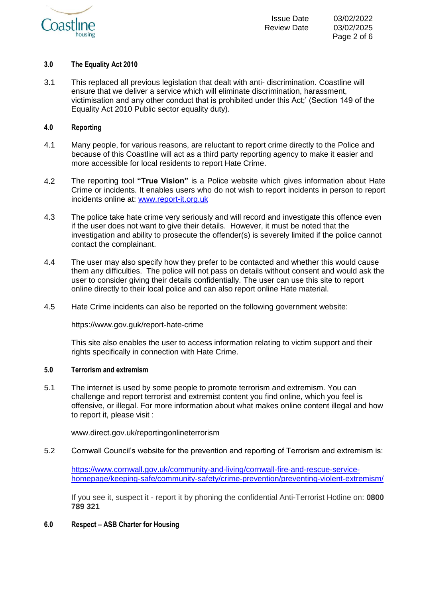

## **3.0 The Equality Act 2010**

3.1 This replaced all previous legislation that dealt with anti- discrimination. Coastline will ensure that we deliver a service which will eliminate discrimination, harassment, victimisation and any other conduct that is prohibited under this Act;' (Section 149 of the Equality Act 2010 Public sector equality duty).

# **4.0 Reporting**

- 4.1 Many people, for various reasons, are reluctant to report crime directly to the Police and because of this Coastline will act as a third party reporting agency to make it easier and more accessible for local residents to report Hate Crime.
- 4.2 The reporting tool **"True Vision"** is a Police website which gives information about Hate Crime or incidents. It enables users who do not wish to report incidents in person to report incidents online at: [www.report-it.org.uk](http://www.report-it.org.uk/)
- 4.3 The police take hate crime very seriously and will record and investigate this offence even if the user does not want to give their details. However, it must be noted that the investigation and ability to prosecute the offender(s) is severely limited if the police cannot contact the complainant.
- 4.4 The user may also specify how they prefer to be contacted and whether this would cause them any difficulties. The police will not pass on details without consent and would ask the user to consider giving their details confidentially. The user can use this site to report online directly to their local police and can also report online Hate material.
- 4.5 Hate Crime incidents can also be reported on the following government website:

https://www.gov.guk/report-hate-crime

This site also enables the user to access information relating to victim support and their rights specifically in connection with Hate Crime.

## **5.0 Terrorism and extremism**

5.1 The internet is used by some people to promote terrorism and extremism. You can challenge and report terrorist and extremist content you find online, which you feel is offensive, or illegal. For more information about what makes online content illegal and how to report it, please visit :

www.direct.gov.uk/reportingonlineterrorism

5.2 Cornwall Council's website for the prevention and reporting of Terrorism and extremism is:

[https://www.cornwall.gov.uk/community-and-living/cornwall-fire-and-rescue-service](https://www.cornwall.gov.uk/community-and-living/cornwall-fire-and-rescue-service-homepage/keeping-safe/community-safety/crime-prevention/preventing-violent-extremism/)[homepage/keeping-safe/community-safety/crime-prevention/preventing-violent-extremism/](https://www.cornwall.gov.uk/community-and-living/cornwall-fire-and-rescue-service-homepage/keeping-safe/community-safety/crime-prevention/preventing-violent-extremism/)

If you see it, suspect it - report it by phoning the confidential Anti-Terrorist Hotline on: **0800 789 321**

## **6.0 Respect – ASB Charter for Housing**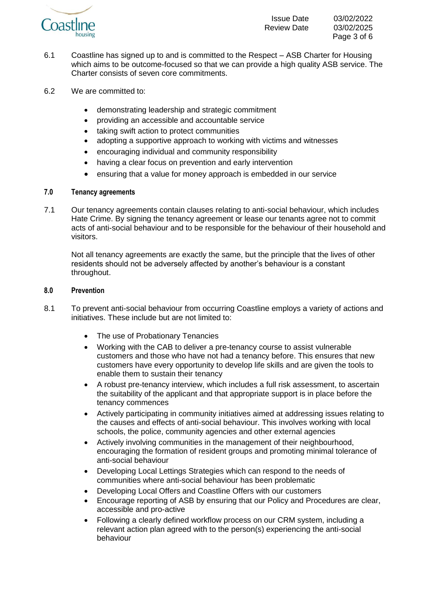

6.1 Coastline has signed up to and is committed to the Respect – ASB Charter for Housing which aims to be outcome-focused so that we can provide a high quality ASB service. The Charter consists of seven core commitments.

- 6.2 We are committed to:
	- demonstrating leadership and strategic commitment
	- providing an accessible and accountable service
	- taking swift action to protect communities
	- adopting a supportive approach to working with victims and witnesses
	- encouraging individual and community responsibility
	- having a clear focus on prevention and early intervention
	- ensuring that a value for money approach is embedded in our service

# **7.0 Tenancy agreements**

7.1 Our tenancy agreements contain clauses relating to anti-social behaviour, which includes Hate Crime. By signing the tenancy agreement or lease our tenants agree not to commit acts of anti-social behaviour and to be responsible for the behaviour of their household and visitors.

Not all tenancy agreements are exactly the same, but the principle that the lives of other residents should not be adversely affected by another's behaviour is a constant throughout.

# **8.0 Prevention**

- 8.1 To prevent anti-social behaviour from occurring Coastline employs a variety of actions and initiatives. These include but are not limited to:
	- The use of Probationary Tenancies
	- Working with the CAB to deliver a pre-tenancy course to assist vulnerable customers and those who have not had a tenancy before. This ensures that new customers have every opportunity to develop life skills and are given the tools to enable them to sustain their tenancy
	- A robust pre-tenancy interview, which includes a full risk assessment, to ascertain the suitability of the applicant and that appropriate support is in place before the tenancy commences
	- Actively participating in community initiatives aimed at addressing issues relating to the causes and effects of anti-social behaviour. This involves working with local schools, the police, community agencies and other external agencies
	- Actively involving communities in the management of their neighbourhood, encouraging the formation of resident groups and promoting minimal tolerance of anti-social behaviour
	- Developing Local Lettings Strategies which can respond to the needs of communities where anti-social behaviour has been problematic
	- Developing Local Offers and Coastline Offers with our customers
	- Encourage reporting of ASB by ensuring that our Policy and Procedures are clear, accessible and pro-active
	- Following a clearly defined workflow process on our CRM system, including a relevant action plan agreed with to the person(s) experiencing the anti-social behaviour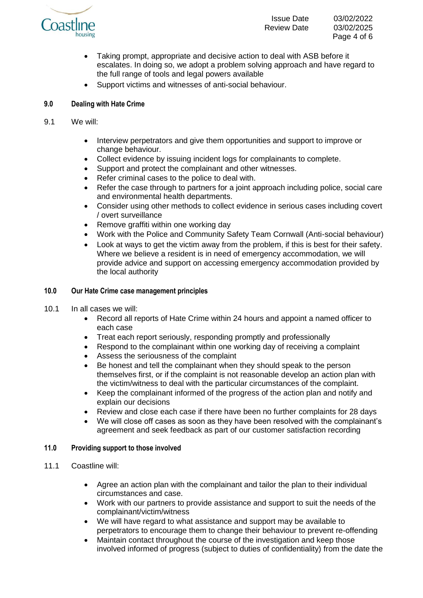

- Taking prompt, appropriate and decisive action to deal with ASB before it escalates. In doing so, we adopt a problem solving approach and have regard to the full range of tools and legal powers available
- Support victims and witnesses of anti-social behaviour.

# **9.0 Dealing with Hate Crime**

- 9.1 We will:
	- Interview perpetrators and give them opportunities and support to improve or change behaviour.
	- Collect evidence by issuing incident logs for complainants to complete.
	- Support and protect the complainant and other witnesses.
	- Refer criminal cases to the police to deal with.
	- Refer the case through to partners for a joint approach including police, social care and environmental health departments.
	- Consider using other methods to collect evidence in serious cases including covert / overt surveillance
	- Remove graffiti within one working day
	- Work with the Police and Community Safety Team Cornwall (Anti-social behaviour)
	- Look at ways to get the victim away from the problem, if this is best for their safety. Where we believe a resident is in need of emergency accommodation, we will provide advice and support on accessing emergency accommodation provided by the local authority

# **10.0 Our Hate Crime case management principles**

- 10.1 In all cases we will:
	- Record all reports of Hate Crime within 24 hours and appoint a named officer to each case
	- Treat each report seriously, responding promptly and professionally
	- Respond to the complainant within one working day of receiving a complaint
	- Assess the seriousness of the complaint
	- Be honest and tell the complainant when they should speak to the person themselves first, or if the complaint is not reasonable develop an action plan with the victim/witness to deal with the particular circumstances of the complaint.
	- Keep the complainant informed of the progress of the action plan and notify and explain our decisions
	- Review and close each case if there have been no further complaints for 28 days
	- We will close off cases as soon as they have been resolved with the complainant's agreement and seek feedback as part of our customer satisfaction recording

# **11.0 Providing support to those involved**

- 11.1 Coastline will:
	- Agree an action plan with the complainant and tailor the plan to their individual circumstances and case.
	- Work with our partners to provide assistance and support to suit the needs of the complainant/victim/witness
	- We will have regard to what assistance and support may be available to perpetrators to encourage them to change their behaviour to prevent re-offending
	- Maintain contact throughout the course of the investigation and keep those involved informed of progress (subject to duties of confidentiality) from the date the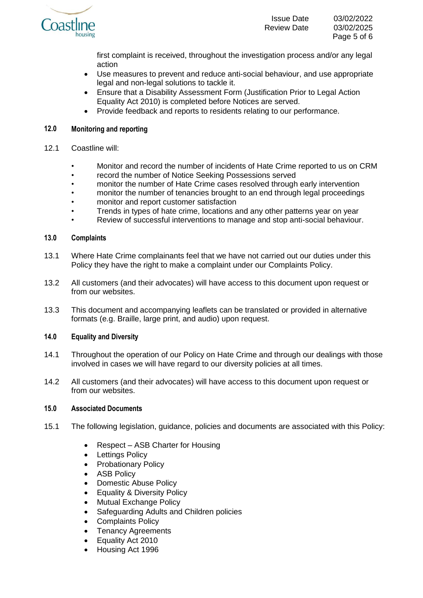

first complaint is received, throughout the investigation process and/or any legal action

- Use measures to prevent and reduce anti-social behaviour, and use appropriate legal and non-legal solutions to tackle it.
- Ensure that a Disability Assessment Form (Justification Prior to Legal Action Equality Act 2010) is completed before Notices are served.
- Provide feedback and reports to residents relating to our performance.

# **12.0 Monitoring and reporting**

- 12.1 Coastline will:
	- Monitor and record the number of incidents of Hate Crime reported to us on CRM
	- record the number of Notice Seeking Possessions served
	- monitor the number of Hate Crime cases resolved through early intervention
	- monitor the number of tenancies brought to an end through legal proceedings
	- monitor and report customer satisfaction
	- Trends in types of hate crime, locations and any other patterns year on year
	- Review of successful interventions to manage and stop anti-social behaviour.

## **13.0 Complaints**

- 13.1 Where Hate Crime complainants feel that we have not carried out our duties under this Policy they have the right to make a complaint under our Complaints Policy.
- 13.2 All customers (and their advocates) will have access to this document upon request or from our websites.
- 13.3 This document and accompanying leaflets can be translated or provided in alternative formats (e.g. Braille, large print, and audio) upon request.

## **14.0 Equality and Diversity**

- 14.1 Throughout the operation of our Policy on Hate Crime and through our dealings with those involved in cases we will have regard to our diversity policies at all times.
- 14.2 All customers (and their advocates) will have access to this document upon request or from our websites.

## **15.0 Associated Documents**

- 15.1 The following legislation, guidance, policies and documents are associated with this Policy:
	- Respect ASB Charter for Housing
	- Lettings Policy
	- Probationary Policy
	- ASB Policy
	- Domestic Abuse Policy
	- Equality & Diversity Policy
	- Mutual Exchange Policy
	- Safeguarding Adults and Children policies
	- Complaints Policy
	- Tenancy Agreements
	- Equality Act 2010
	- Housing Act 1996